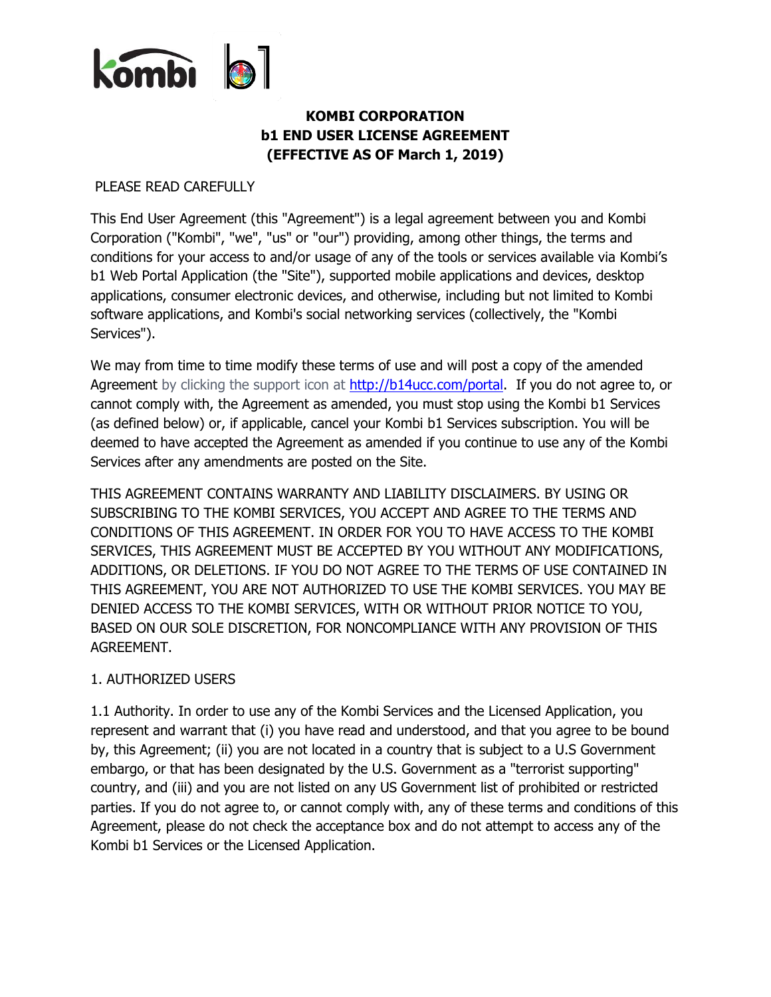

# **KOMBI CORPORATION b1 END USER LICENSE AGREEMENT (EFFECTIVE AS OF March 1, 2019)**

## PLEASE READ CAREFULLY

This End User Agreement (this "Agreement") is a legal agreement between you and Kombi Corporation ("Kombi", "we", "us" or "our") providing, among other things, the terms and conditions for your access to and/or usage of any of the tools or services available via Kombi's b1 Web Portal Application (the "Site"), supported mobile applications and devices, desktop applications, consumer electronic devices, and otherwise, including but not limited to Kombi software applications, and Kombi's social networking services (collectively, the "Kombi Services").

We may from time to time modify these terms of use and will post a copy of the amended Agreement by clicking the support icon at [http://b14ucc.com/portal.](http://b14ucc.com/portal) If you do not agree to, or cannot comply with, the Agreement as amended, you must stop using the Kombi b1 Services (as defined below) or, if applicable, cancel your Kombi b1 Services subscription. You will be deemed to have accepted the Agreement as amended if you continue to use any of the Kombi Services after any amendments are posted on the Site.

THIS AGREEMENT CONTAINS WARRANTY AND LIABILITY DISCLAIMERS. BY USING OR SUBSCRIBING TO THE KOMBI SERVICES, YOU ACCEPT AND AGREE TO THE TERMS AND CONDITIONS OF THIS AGREEMENT. IN ORDER FOR YOU TO HAVE ACCESS TO THE KOMBI SERVICES, THIS AGREEMENT MUST BE ACCEPTED BY YOU WITHOUT ANY MODIFICATIONS, ADDITIONS, OR DELETIONS. IF YOU DO NOT AGREE TO THE TERMS OF USE CONTAINED IN THIS AGREEMENT, YOU ARE NOT AUTHORIZED TO USE THE KOMBI SERVICES. YOU MAY BE DENIED ACCESS TO THE KOMBI SERVICES, WITH OR WITHOUT PRIOR NOTICE TO YOU, BASED ON OUR SOLE DISCRETION, FOR NONCOMPLIANCE WITH ANY PROVISION OF THIS AGREEMENT.

## 1. AUTHORIZED USERS

1.1 Authority. In order to use any of the Kombi Services and the Licensed Application, you represent and warrant that (i) you have read and understood, and that you agree to be bound by, this Agreement; (ii) you are not located in a country that is subject to a U.S Government embargo, or that has been designated by the U.S. Government as a "terrorist supporting" country, and (iii) and you are not listed on any US Government list of prohibited or restricted parties. If you do not agree to, or cannot comply with, any of these terms and conditions of this Agreement, please do not check the acceptance box and do not attempt to access any of the Kombi b1 Services or the Licensed Application.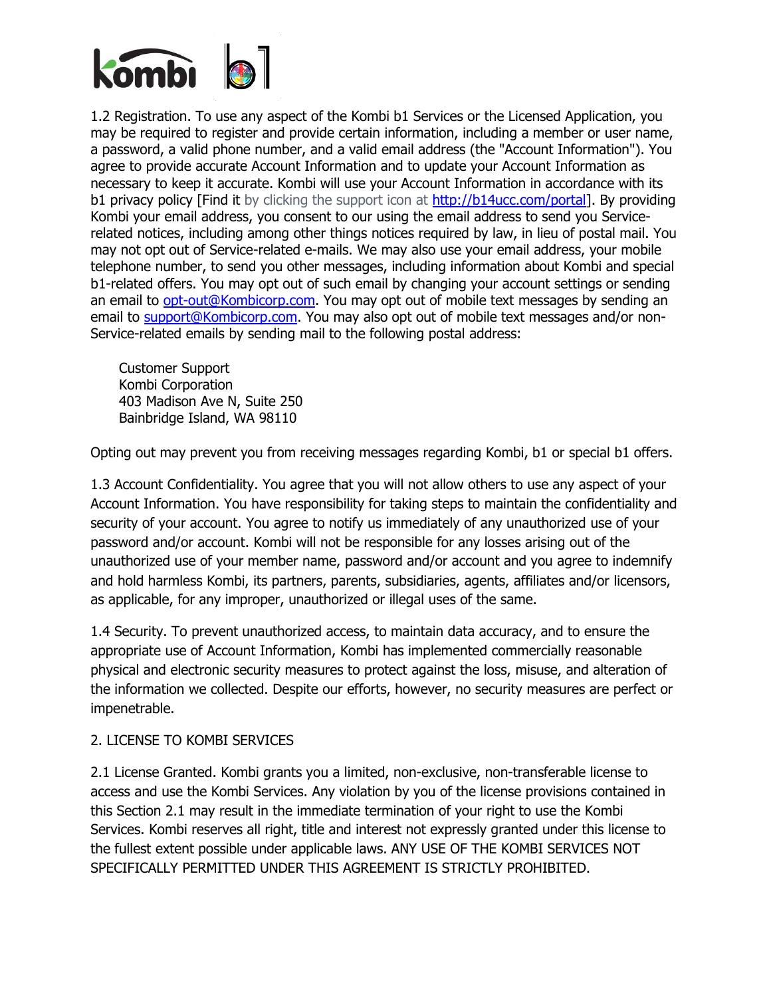

1.2 Registration. To use any aspect of the Kombi b1 Services or the Licensed Application, you may be required to register and provide certain information, including a member or user name, a password, a valid phone number, and a valid email address (the "Account Information"). You agree to provide accurate Account Information and to update your Account Information as necessary to keep it accurate. Kombi will use your Account Information in accordance with its b1 privacy policy [Find it by clicking the support icon at [http://b14ucc.com/portal\]](http://b14ucc.com/portal). By providing Kombi your email address, you consent to our using the email address to send you Servicerelated notices, including among other things notices required by law, in lieu of postal mail. You may not opt out of Service-related e-mails. We may also use your email address, your mobile telephone number, to send you other messages, including information about Kombi and special b1-related offers. You may opt out of such email by changing your account settings or sending an email to [opt-out@Kombicorp.com.](mailto:opt-out@pandora.com) You may opt out of mobile text messages by sending an email to [support@Kombicorp.com.](mailto:support@Kombicorp.com) You may also opt out of mobile text messages and/or non-Service-related emails by sending mail to the following postal address:

Customer Support Kombi Corporation 403 Madison Ave N, Suite 250 Bainbridge Island, WA 98110

Opting out may prevent you from receiving messages regarding Kombi, b1 or special b1 offers.

1.3 Account Confidentiality. You agree that you will not allow others to use any aspect of your Account Information. You have responsibility for taking steps to maintain the confidentiality and security of your account. You agree to notify us immediately of any unauthorized use of your password and/or account. Kombi will not be responsible for any losses arising out of the unauthorized use of your member name, password and/or account and you agree to indemnify and hold harmless Kombi, its partners, parents, subsidiaries, agents, affiliates and/or licensors, as applicable, for any improper, unauthorized or illegal uses of the same.

1.4 Security. To prevent unauthorized access, to maintain data accuracy, and to ensure the appropriate use of Account Information, Kombi has implemented commercially reasonable physical and electronic security measures to protect against the loss, misuse, and alteration of the information we collected. Despite our efforts, however, no security measures are perfect or impenetrable.

## 2. LICENSE TO KOMBI SERVICES

2.1 License Granted. Kombi grants you a limited, non-exclusive, non-transferable license to access and use the Kombi Services. Any violation by you of the license provisions contained in this Section 2.1 may result in the immediate termination of your right to use the Kombi Services. Kombi reserves all right, title and interest not expressly granted under this license to the fullest extent possible under applicable laws. ANY USE OF THE KOMBI SERVICES NOT SPECIFICALLY PERMITTED UNDER THIS AGREEMENT IS STRICTLY PROHIBITED.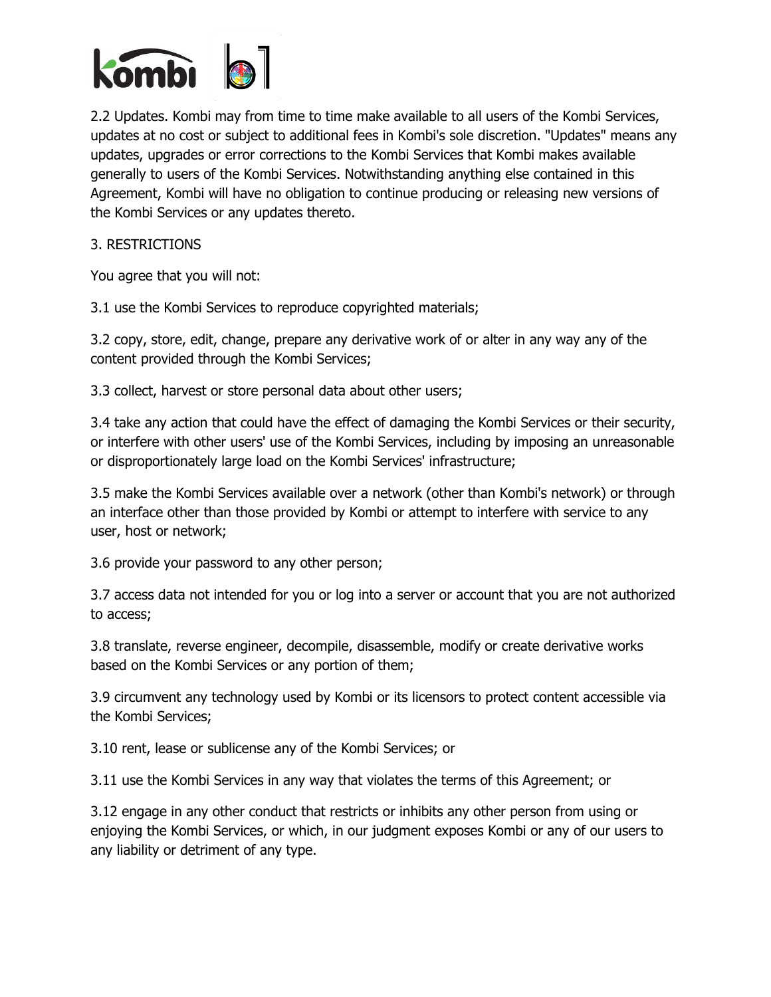

2.2 Updates. Kombi may from time to time make available to all users of the Kombi Services, updates at no cost or subject to additional fees in Kombi's sole discretion. "Updates" means any updates, upgrades or error corrections to the Kombi Services that Kombi makes available generally to users of the Kombi Services. Notwithstanding anything else contained in this Agreement, Kombi will have no obligation to continue producing or releasing new versions of the Kombi Services or any updates thereto.

3. RESTRICTIONS

You agree that you will not:

3.1 use the Kombi Services to reproduce copyrighted materials;

3.2 copy, store, edit, change, prepare any derivative work of or alter in any way any of the content provided through the Kombi Services;

3.3 collect, harvest or store personal data about other users;

3.4 take any action that could have the effect of damaging the Kombi Services or their security, or interfere with other users' use of the Kombi Services, including by imposing an unreasonable or disproportionately large load on the Kombi Services' infrastructure;

3.5 make the Kombi Services available over a network (other than Kombi's network) or through an interface other than those provided by Kombi or attempt to interfere with service to any user, host or network;

3.6 provide your password to any other person;

3.7 access data not intended for you or log into a server or account that you are not authorized to access;

3.8 translate, reverse engineer, decompile, disassemble, modify or create derivative works based on the Kombi Services or any portion of them;

3.9 circumvent any technology used by Kombi or its licensors to protect content accessible via the Kombi Services;

3.10 rent, lease or sublicense any of the Kombi Services; or

3.11 use the Kombi Services in any way that violates the terms of this Agreement; or

3.12 engage in any other conduct that restricts or inhibits any other person from using or enjoying the Kombi Services, or which, in our judgment exposes Kombi or any of our users to any liability or detriment of any type.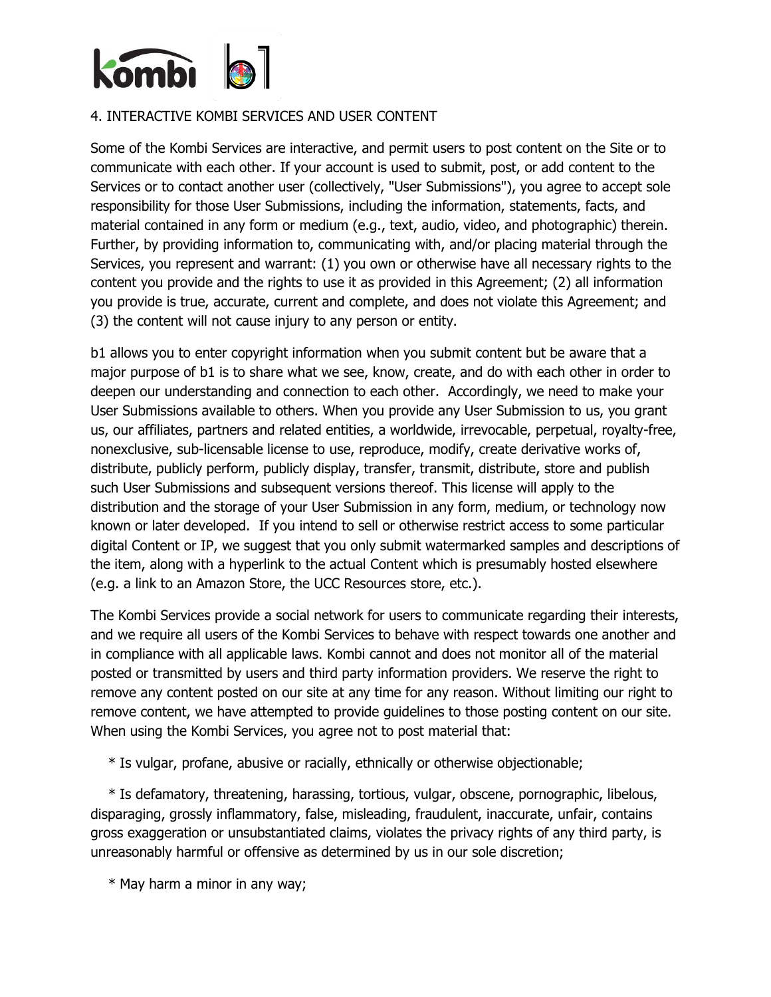

## 4. INTERACTIVE KOMBI SERVICES AND USER CONTENT

Some of the Kombi Services are interactive, and permit users to post content on the Site or to communicate with each other. If your account is used to submit, post, or add content to the Services or to contact another user (collectively, "User Submissions"), you agree to accept sole responsibility for those User Submissions, including the information, statements, facts, and material contained in any form or medium (e.g., text, audio, video, and photographic) therein. Further, by providing information to, communicating with, and/or placing material through the Services, you represent and warrant: (1) you own or otherwise have all necessary rights to the content you provide and the rights to use it as provided in this Agreement; (2) all information you provide is true, accurate, current and complete, and does not violate this Agreement; and (3) the content will not cause injury to any person or entity.

b1 allows you to enter copyright information when you submit content but be aware that a major purpose of b1 is to share what we see, know, create, and do with each other in order to deepen our understanding and connection to each other. Accordingly, we need to make your User Submissions available to others. When you provide any User Submission to us, you grant us, our affiliates, partners and related entities, a worldwide, irrevocable, perpetual, royalty-free, nonexclusive, sub-licensable license to use, reproduce, modify, create derivative works of, distribute, publicly perform, publicly display, transfer, transmit, distribute, store and publish such User Submissions and subsequent versions thereof. This license will apply to the distribution and the storage of your User Submission in any form, medium, or technology now known or later developed. If you intend to sell or otherwise restrict access to some particular digital Content or IP, we suggest that you only submit watermarked samples and descriptions of the item, along with a hyperlink to the actual Content which is presumably hosted elsewhere (e.g. a link to an Amazon Store, the UCC Resources store, etc.).

The Kombi Services provide a social network for users to communicate regarding their interests, and we require all users of the Kombi Services to behave with respect towards one another and in compliance with all applicable laws. Kombi cannot and does not monitor all of the material posted or transmitted by users and third party information providers. We reserve the right to remove any content posted on our site at any time for any reason. Without limiting our right to remove content, we have attempted to provide guidelines to those posting content on our site. When using the Kombi Services, you agree not to post material that:

\* Is vulgar, profane, abusive or racially, ethnically or otherwise objectionable;

 \* Is defamatory, threatening, harassing, tortious, vulgar, obscene, pornographic, libelous, disparaging, grossly inflammatory, false, misleading, fraudulent, inaccurate, unfair, contains gross exaggeration or unsubstantiated claims, violates the privacy rights of any third party, is unreasonably harmful or offensive as determined by us in our sole discretion;

\* May harm a minor in any way;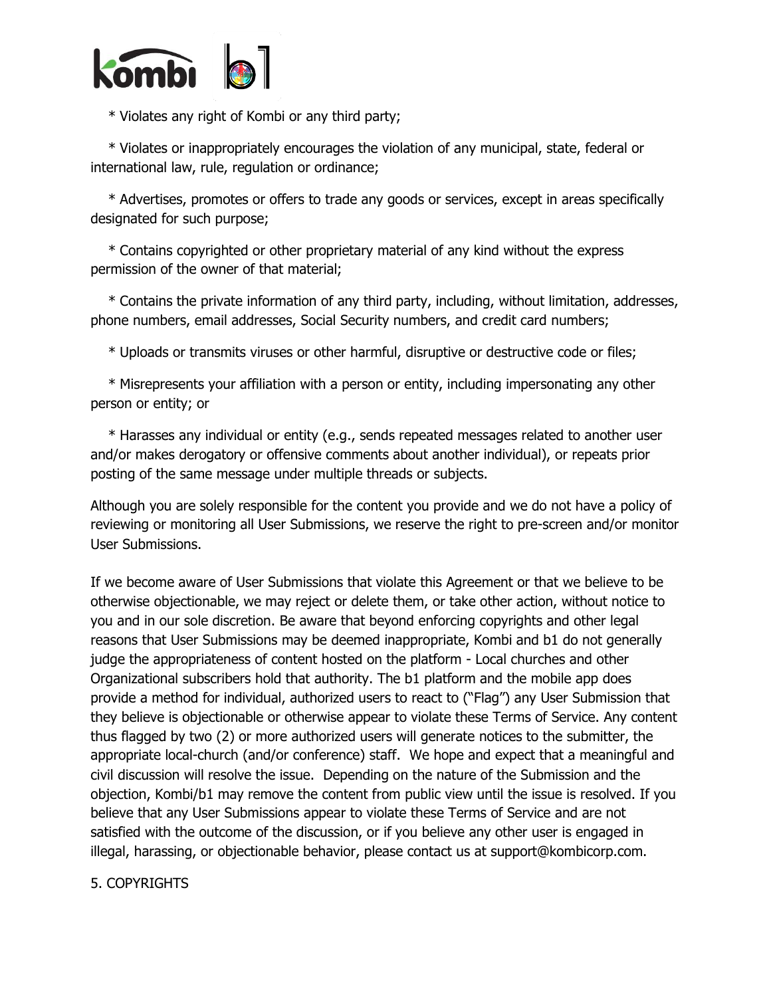

\* Violates any right of Kombi or any third party;

 \* Violates or inappropriately encourages the violation of any municipal, state, federal or international law, rule, regulation or ordinance;

 \* Advertises, promotes or offers to trade any goods or services, except in areas specifically designated for such purpose;

 \* Contains copyrighted or other proprietary material of any kind without the express permission of the owner of that material;

 \* Contains the private information of any third party, including, without limitation, addresses, phone numbers, email addresses, Social Security numbers, and credit card numbers;

\* Uploads or transmits viruses or other harmful, disruptive or destructive code or files;

 \* Misrepresents your affiliation with a person or entity, including impersonating any other person or entity; or

 \* Harasses any individual or entity (e.g., sends repeated messages related to another user and/or makes derogatory or offensive comments about another individual), or repeats prior posting of the same message under multiple threads or subjects.

Although you are solely responsible for the content you provide and we do not have a policy of reviewing or monitoring all User Submissions, we reserve the right to pre-screen and/or monitor User Submissions.

If we become aware of User Submissions that violate this Agreement or that we believe to be otherwise objectionable, we may reject or delete them, or take other action, without notice to you and in our sole discretion. Be aware that beyond enforcing copyrights and other legal reasons that User Submissions may be deemed inappropriate, Kombi and b1 do not generally judge the appropriateness of content hosted on the platform - Local churches and other Organizational subscribers hold that authority. The b1 platform and the mobile app does provide a method for individual, authorized users to react to ("Flag") any User Submission that they believe is objectionable or otherwise appear to violate these Terms of Service. Any content thus flagged by two (2) or more authorized users will generate notices to the submitter, the appropriate local-church (and/or conference) staff. We hope and expect that a meaningful and civil discussion will resolve the issue. Depending on the nature of the Submission and the objection, Kombi/b1 may remove the content from public view until the issue is resolved. If you believe that any User Submissions appear to violate these Terms of Service and are not satisfied with the outcome of the discussion, or if you believe any other user is engaged in illegal, harassing, or objectionable behavior, please contact us at support@kombicorp.com.

## 5. COPYRIGHTS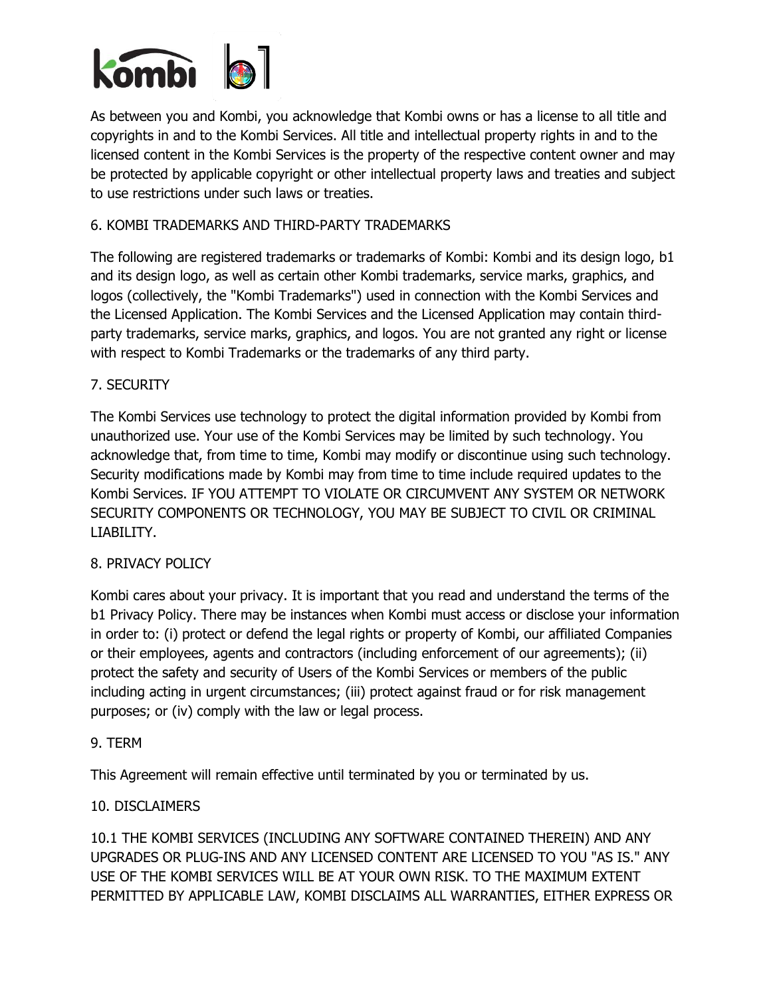

As between you and Kombi, you acknowledge that Kombi owns or has a license to all title and copyrights in and to the Kombi Services. All title and intellectual property rights in and to the licensed content in the Kombi Services is the property of the respective content owner and may be protected by applicable copyright or other intellectual property laws and treaties and subject to use restrictions under such laws or treaties.

## 6. KOMBI TRADEMARKS AND THIRD-PARTY TRADEMARKS

The following are registered trademarks or trademarks of Kombi: Kombi and its design logo, b1 and its design logo, as well as certain other Kombi trademarks, service marks, graphics, and logos (collectively, the "Kombi Trademarks") used in connection with the Kombi Services and the Licensed Application. The Kombi Services and the Licensed Application may contain thirdparty trademarks, service marks, graphics, and logos. You are not granted any right or license with respect to Kombi Trademarks or the trademarks of any third party.

## 7. SECURITY

The Kombi Services use technology to protect the digital information provided by Kombi from unauthorized use. Your use of the Kombi Services may be limited by such technology. You acknowledge that, from time to time, Kombi may modify or discontinue using such technology. Security modifications made by Kombi may from time to time include required updates to the Kombi Services. IF YOU ATTEMPT TO VIOLATE OR CIRCUMVENT ANY SYSTEM OR NETWORK SECURITY COMPONENTS OR TECHNOLOGY, YOU MAY BE SUBJECT TO CIVIL OR CRIMINAL LIABILITY.

## 8. PRIVACY POLICY

Kombi cares about your privacy. It is important that you read and understand the terms of the b1 Privacy Policy. There may be instances when Kombi must access or disclose your information in order to: (i) protect or defend the legal rights or property of Kombi, our affiliated Companies or their employees, agents and contractors (including enforcement of our agreements); (ii) protect the safety and security of Users of the Kombi Services or members of the public including acting in urgent circumstances; (iii) protect against fraud or for risk management purposes; or (iv) comply with the law or legal process.

#### 9. TERM

This Agreement will remain effective until terminated by you or terminated by us.

## 10. DISCLAIMERS

10.1 THE KOMBI SERVICES (INCLUDING ANY SOFTWARE CONTAINED THEREIN) AND ANY UPGRADES OR PLUG-INS AND ANY LICENSED CONTENT ARE LICENSED TO YOU "AS IS." ANY USE OF THE KOMBI SERVICES WILL BE AT YOUR OWN RISK. TO THE MAXIMUM EXTENT PERMITTED BY APPLICABLE LAW, KOMBI DISCLAIMS ALL WARRANTIES, EITHER EXPRESS OR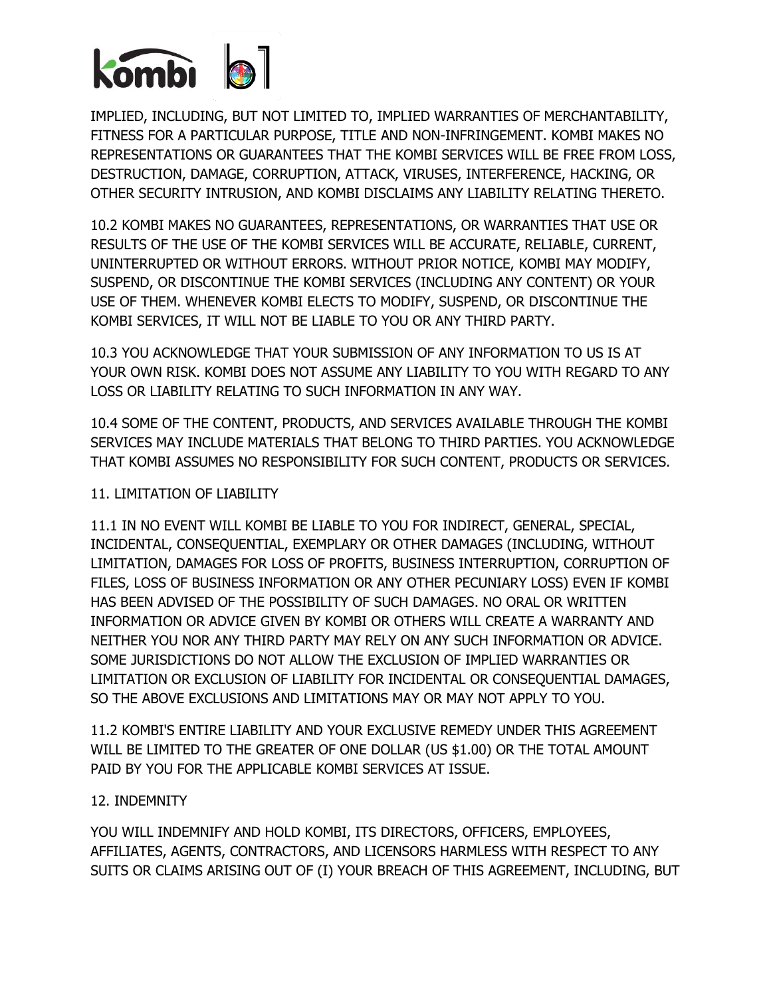

IMPLIED, INCLUDING, BUT NOT LIMITED TO, IMPLIED WARRANTIES OF MERCHANTABILITY, FITNESS FOR A PARTICULAR PURPOSE, TITLE AND NON-INFRINGEMENT. KOMBI MAKES NO REPRESENTATIONS OR GUARANTEES THAT THE KOMBI SERVICES WILL BE FREE FROM LOSS, DESTRUCTION, DAMAGE, CORRUPTION, ATTACK, VIRUSES, INTERFERENCE, HACKING, OR OTHER SECURITY INTRUSION, AND KOMBI DISCLAIMS ANY LIABILITY RELATING THERETO.

10.2 KOMBI MAKES NO GUARANTEES, REPRESENTATIONS, OR WARRANTIES THAT USE OR RESULTS OF THE USE OF THE KOMBI SERVICES WILL BE ACCURATE, RELIABLE, CURRENT, UNINTERRUPTED OR WITHOUT ERRORS. WITHOUT PRIOR NOTICE, KOMBI MAY MODIFY, SUSPEND, OR DISCONTINUE THE KOMBI SERVICES (INCLUDING ANY CONTENT) OR YOUR USE OF THEM. WHENEVER KOMBI ELECTS TO MODIFY, SUSPEND, OR DISCONTINUE THE KOMBI SERVICES, IT WILL NOT BE LIABLE TO YOU OR ANY THIRD PARTY.

10.3 YOU ACKNOWLEDGE THAT YOUR SUBMISSION OF ANY INFORMATION TO US IS AT YOUR OWN RISK. KOMBI DOES NOT ASSUME ANY LIABILITY TO YOU WITH REGARD TO ANY LOSS OR LIABILITY RELATING TO SUCH INFORMATION IN ANY WAY.

10.4 SOME OF THE CONTENT, PRODUCTS, AND SERVICES AVAILABLE THROUGH THE KOMBI SERVICES MAY INCLUDE MATERIALS THAT BELONG TO THIRD PARTIES. YOU ACKNOWLEDGE THAT KOMBI ASSUMES NO RESPONSIBILITY FOR SUCH CONTENT, PRODUCTS OR SERVICES.

#### 11. LIMITATION OF LIABILITY

11.1 IN NO EVENT WILL KOMBI BE LIABLE TO YOU FOR INDIRECT, GENERAL, SPECIAL, INCIDENTAL, CONSEQUENTIAL, EXEMPLARY OR OTHER DAMAGES (INCLUDING, WITHOUT LIMITATION, DAMAGES FOR LOSS OF PROFITS, BUSINESS INTERRUPTION, CORRUPTION OF FILES, LOSS OF BUSINESS INFORMATION OR ANY OTHER PECUNIARY LOSS) EVEN IF KOMBI HAS BEEN ADVISED OF THE POSSIBILITY OF SUCH DAMAGES. NO ORAL OR WRITTEN INFORMATION OR ADVICE GIVEN BY KOMBI OR OTHERS WILL CREATE A WARRANTY AND NEITHER YOU NOR ANY THIRD PARTY MAY RELY ON ANY SUCH INFORMATION OR ADVICE. SOME JURISDICTIONS DO NOT ALLOW THE EXCLUSION OF IMPLIED WARRANTIES OR LIMITATION OR EXCLUSION OF LIABILITY FOR INCIDENTAL OR CONSEQUENTIAL DAMAGES, SO THE ABOVE EXCLUSIONS AND LIMITATIONS MAY OR MAY NOT APPLY TO YOU.

11.2 KOMBI'S ENTIRE LIABILITY AND YOUR EXCLUSIVE REMEDY UNDER THIS AGREEMENT WILL BE LIMITED TO THE GREATER OF ONE DOLLAR (US \$1.00) OR THE TOTAL AMOUNT PAID BY YOU FOR THE APPLICABLE KOMBI SERVICES AT ISSUE.

#### 12. INDEMNITY

YOU WILL INDEMNIFY AND HOLD KOMBI, ITS DIRECTORS, OFFICERS, EMPLOYEES, AFFILIATES, AGENTS, CONTRACTORS, AND LICENSORS HARMLESS WITH RESPECT TO ANY SUITS OR CLAIMS ARISING OUT OF (I) YOUR BREACH OF THIS AGREEMENT, INCLUDING, BUT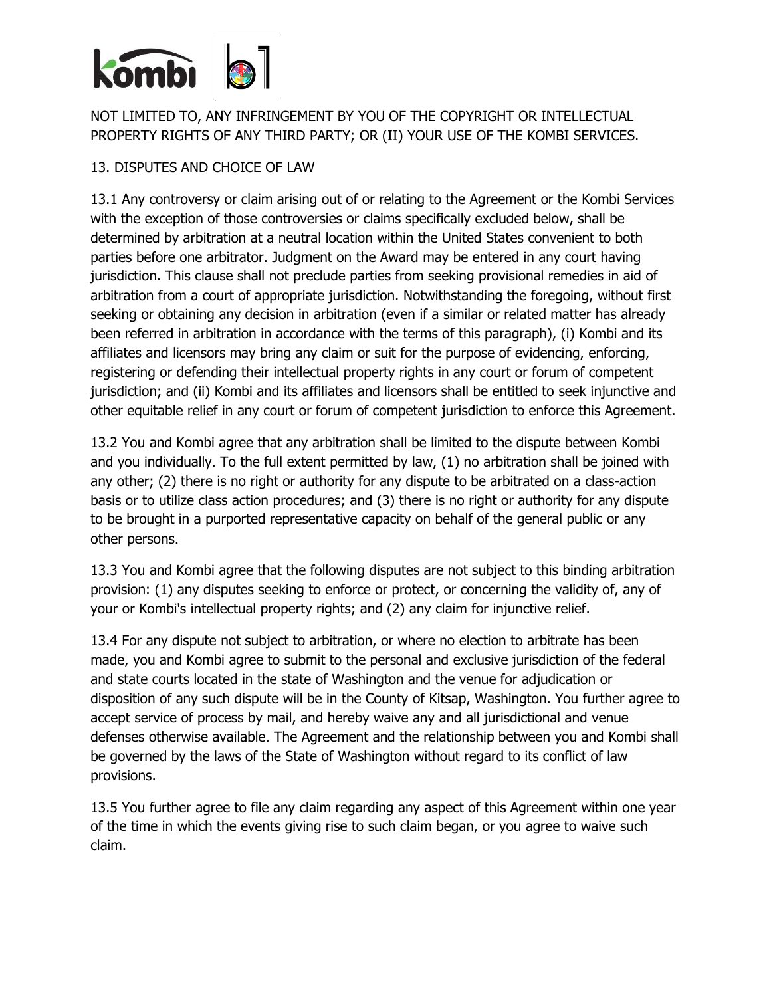# ombi

# NOT LIMITED TO, ANY INFRINGEMENT BY YOU OF THE COPYRIGHT OR INTELLECTUAL PROPERTY RIGHTS OF ANY THIRD PARTY; OR (II) YOUR USE OF THE KOMBI SERVICES.

# 13. DISPUTES AND CHOICE OF LAW

13.1 Any controversy or claim arising out of or relating to the Agreement or the Kombi Services with the exception of those controversies or claims specifically excluded below, shall be determined by arbitration at a neutral location within the United States convenient to both parties before one arbitrator. Judgment on the Award may be entered in any court having jurisdiction. This clause shall not preclude parties from seeking provisional remedies in aid of arbitration from a court of appropriate jurisdiction. Notwithstanding the foregoing, without first seeking or obtaining any decision in arbitration (even if a similar or related matter has already been referred in arbitration in accordance with the terms of this paragraph), (i) Kombi and its affiliates and licensors may bring any claim or suit for the purpose of evidencing, enforcing, registering or defending their intellectual property rights in any court or forum of competent jurisdiction; and (ii) Kombi and its affiliates and licensors shall be entitled to seek injunctive and other equitable relief in any court or forum of competent jurisdiction to enforce this Agreement.

13.2 You and Kombi agree that any arbitration shall be limited to the dispute between Kombi and you individually. To the full extent permitted by law, (1) no arbitration shall be joined with any other; (2) there is no right or authority for any dispute to be arbitrated on a class-action basis or to utilize class action procedures; and (3) there is no right or authority for any dispute to be brought in a purported representative capacity on behalf of the general public or any other persons.

13.3 You and Kombi agree that the following disputes are not subject to this binding arbitration provision: (1) any disputes seeking to enforce or protect, or concerning the validity of, any of your or Kombi's intellectual property rights; and (2) any claim for injunctive relief.

13.4 For any dispute not subject to arbitration, or where no election to arbitrate has been made, you and Kombi agree to submit to the personal and exclusive jurisdiction of the federal and state courts located in the state of Washington and the venue for adjudication or disposition of any such dispute will be in the County of Kitsap, Washington. You further agree to accept service of process by mail, and hereby waive any and all jurisdictional and venue defenses otherwise available. The Agreement and the relationship between you and Kombi shall be governed by the laws of the State of Washington without regard to its conflict of law provisions.

13.5 You further agree to file any claim regarding any aspect of this Agreement within one year of the time in which the events giving rise to such claim began, or you agree to waive such claim.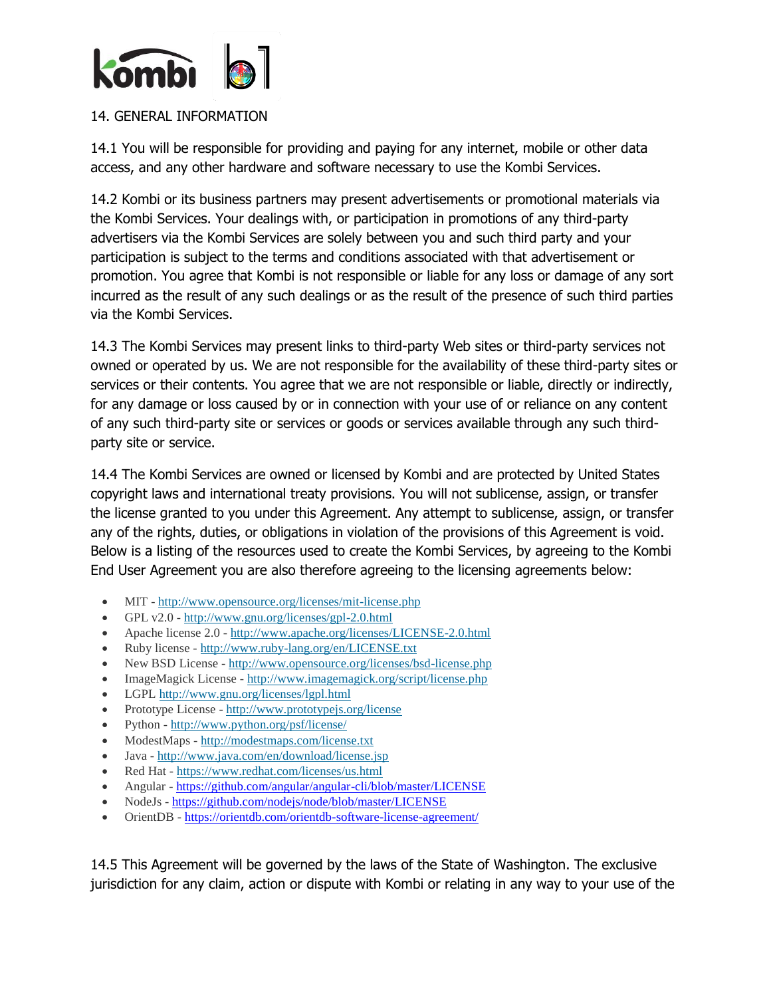

## 14. GENERAL INFORMATION

14.1 You will be responsible for providing and paying for any internet, mobile or other data access, and any other hardware and software necessary to use the Kombi Services.

14.2 Kombi or its business partners may present advertisements or promotional materials via the Kombi Services. Your dealings with, or participation in promotions of any third-party advertisers via the Kombi Services are solely between you and such third party and your participation is subject to the terms and conditions associated with that advertisement or promotion. You agree that Kombi is not responsible or liable for any loss or damage of any sort incurred as the result of any such dealings or as the result of the presence of such third parties via the Kombi Services.

14.3 The Kombi Services may present links to third-party Web sites or third-party services not owned or operated by us. We are not responsible for the availability of these third-party sites or services or their contents. You agree that we are not responsible or liable, directly or indirectly, for any damage or loss caused by or in connection with your use of or reliance on any content of any such third-party site or services or goods or services available through any such thirdparty site or service.

14.4 The Kombi Services are owned or licensed by Kombi and are protected by United States copyright laws and international treaty provisions. You will not sublicense, assign, or transfer the license granted to you under this Agreement. Any attempt to sublicense, assign, or transfer any of the rights, duties, or obligations in violation of the provisions of this Agreement is void. Below is a listing of the resources used to create the Kombi Services, by agreeing to the Kombi End User Agreement you are also therefore agreeing to the licensing agreements below:

- MIT <http://www.opensource.org/licenses/mit-license.php>
- GPL v2.0 <http://www.gnu.org/licenses/gpl-2.0.html>
- Apache license 2.0 <http://www.apache.org/licenses/LICENSE-2.0.html>
- Ruby license <http://www.ruby-lang.org/en/LICENSE.txt>
- New BSD License <http://www.opensource.org/licenses/bsd-license.php>
- ImageMagick License <http://www.imagemagick.org/script/license.php>
- LGPL <http://www.gnu.org/licenses/lgpl.html>
- Prototype License <http://www.prototypejs.org/license>
- Python <http://www.python.org/psf/license/>
- ModestMaps <http://modestmaps.com/license.txt>
- Java <http://www.java.com/en/download/license.jsp>
- Red Hat <https://www.redhat.com/licenses/us.html>
- Angular <https://github.com/angular/angular-cli/blob/master/LICENSE>
- NodeJs <https://github.com/nodejs/node/blob/master/LICENSE>
- OrientDB <https://orientdb.com/orientdb-software-license-agreement/>

14.5 This Agreement will be governed by the laws of the State of Washington. The exclusive jurisdiction for any claim, action or dispute with Kombi or relating in any way to your use of the